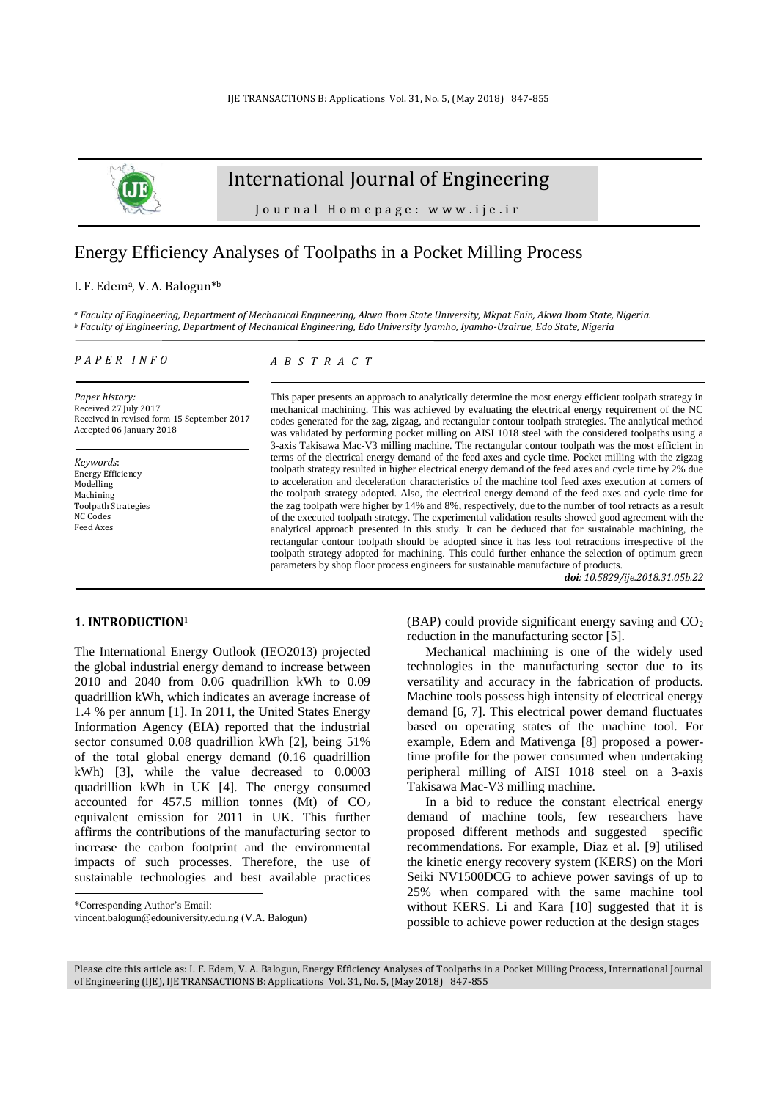

## International Journal of Engineering

Journal Homepage: www.ije.ir

# Energy Efficiency Analyses of Toolpaths in a Pocket Milling Process

#### I. F. Edem<sup>a</sup>, V. A. Balogun<sup>\*b</sup>

*<sup>a</sup> Faculty of Engineering, Department of Mechanical Engineering, Akwa Ibom State University, Mkpat Enin, Akwa Ibom State, Nigeria. <sup>b</sup> Faculty of Engineering, Department of Mechanical Engineering, Edo University Iyamho, Iyamho-Uzairue, Edo State, Nigeria*

#### *P A P E R I N F O*

## *A B S T R A C T*

*Paper history:* Received 27 July 2017 Received in revised form 15 September 2017 Accepted 06 January 2018

*Keywords*: Energy Efficiency Modelling Machining Toolpath Strategies NC Codes Feed Axes

This paper presents an approach to analytically determine the most energy efficient toolpath strategy in mechanical machining. This was achieved by evaluating the electrical energy requirement of the NC codes generated for the zag, zigzag, and rectangular contour toolpath strategies. The analytical method was validated by performing pocket milling on AISI 1018 steel with the considered toolpaths using a 3-axis Takisawa Mac-V3 milling machine. The rectangular contour toolpath was the most efficient in terms of the electrical energy demand of the feed axes and cycle time. Pocket milling with the zigzag toolpath strategy resulted in higher electrical energy demand of the feed axes and cycle time by 2% due to acceleration and deceleration characteristics of the machine tool feed axes execution at corners of the toolpath strategy adopted. Also, the electrical energy demand of the feed axes and cycle time for the zag toolpath were higher by 14% and 8%, respectively, due to the number of tool retracts as a result of the executed toolpath strategy. The experimental validation results showed good agreement with the analytical approach presented in this study. It can be deduced that for sustainable machining, the rectangular contour toolpath should be adopted since it has less tool retractions irrespective of the toolpath strategy adopted for machining. This could further enhance the selection of optimum green parameters by shop floor process engineers for sustainable manufacture of products.

*doi: 10.5829/ije.2018.31.05b.22*

## **1. INTRODUCTION<sup>1</sup>**

The International Energy Outlook (IEO2013) projected the global industrial energy demand to increase between 2010 and 2040 from 0.06 quadrillion kWh to 0.09 quadrillion kWh, which indicates an average increase of 1.4 % per annum [\[1\]](#page-6-0). In 2011, the United States Energy Information Agency (EIA) reported that the industrial sector consumed 0.08 quadrillion kWh [\[2\]](#page-6-1), being 51% of the total global energy demand (0.16 quadrillion kWh) [\[3\]](#page-6-2), while the value decreased to 0.0003 quadrillion kWh in UK [\[4\]](#page-6-3). The energy consumed accounted for  $457.5$  million tonnes (Mt) of  $CO<sub>2</sub>$ equivalent emission for 2011 in UK. This further affirms the contributions of the manufacturing sector to increase the carbon footprint and the environmental impacts of such processes. Therefore, the use of sustainable technologies and best available practices

l

(BAP) could provide significant energy saving and  $CO<sub>2</sub>$ reduction in the manufacturing sector [\[5\]](#page-6-4).

Mechanical machining is one of the widely used technologies in the manufacturing sector due to its versatility and accuracy in the fabrication of products. Machine tools possess high intensity of electrical energy demand [\[6,](#page-6-5) [7\]](#page-6-6). This electrical power demand fluctuates based on operating states of the machine tool. For example, Edem and Mativenga [\[8\]](#page-6-7) proposed a powertime profile for the power consumed when undertaking peripheral milling of AISI 1018 steel on a 3-axis Takisawa Mac-V3 milling machine.

In a bid to reduce the constant electrical energy demand of machine tools, few researchers have proposed different methods and suggested specific recommendations. For example, Diaz et al. [\[9\]](#page-6-8) utilised the kinetic energy recovery system (KERS) on the Mori Seiki NV1500DCG to achieve power savings of up to 25% when compared with the same machine tool without KERS. Li and Kara [\[10\]](#page-6-9) suggested that it is possible to achieve power reduction at the design stages

Please cite this article as: I. F. Edem, V. A. Balogun, Energy Efficiency Analyses of Toolpaths in a Pocket Milling Process, International Journal of Engineering (IJE), IJE TRANSACTIONS B: Applications Vol. 31, No. 5, (May 2018) 847-855

<sup>\*</sup>Corresponding Author's Email:

[vincent.balogun@edouniversity.edu.ng](mailto:vincent.balogun@edouniversity.edu.ng) (V.A. Balogun)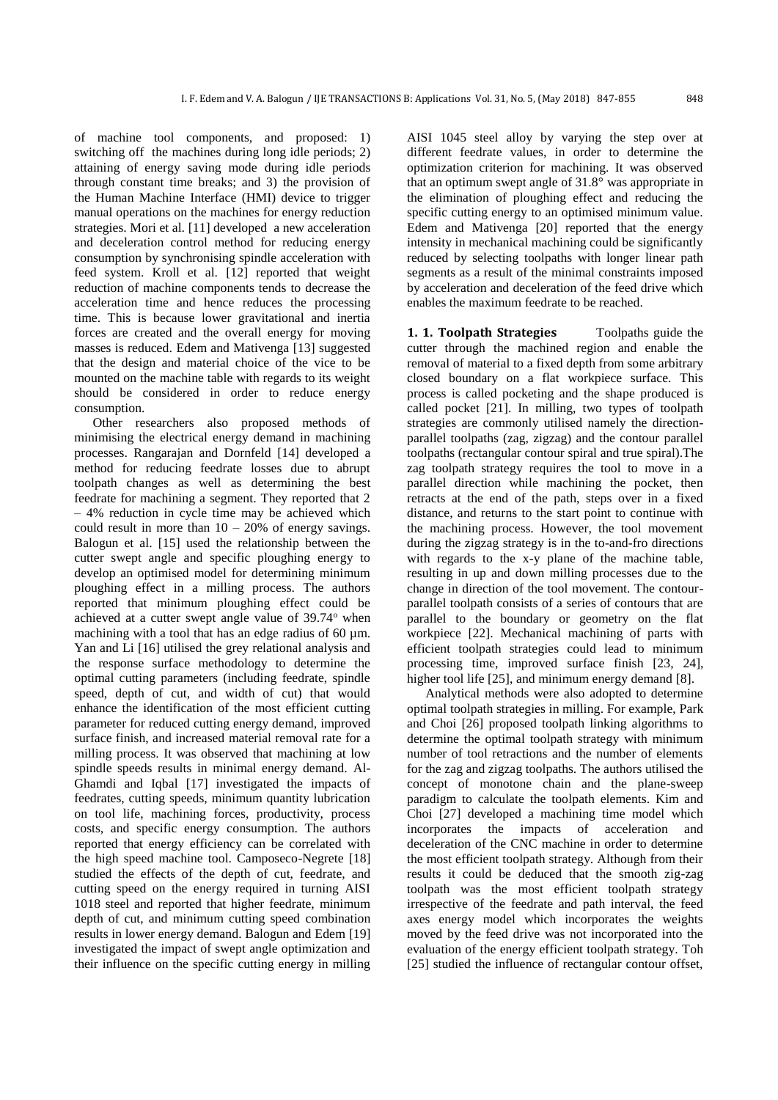of machine tool components, and proposed: 1) switching off the machines during long idle periods; 2) attaining of energy saving mode during idle periods through constant time breaks; and 3) the provision of the Human Machine Interface (HMI) device to trigger manual operations on the machines for energy reduction strategies. Mori et al. [\[11\]](#page-6-10) developed a new acceleration and deceleration control method for reducing energy consumption by synchronising spindle acceleration with feed system. Kroll et al. [\[12\]](#page-6-11) reported that weight reduction of machine components tends to decrease the acceleration time and hence reduces the processing time. This is because lower gravitational and inertia forces are created and the overall energy for moving masses is reduced. Edem and Mativenga [\[13\]](#page-6-12) suggested that the design and material choice of the vice to be mounted on the machine table with regards to its weight should be considered in order to reduce energy consumption.

Other researchers also proposed methods of minimising the electrical energy demand in machining processes. Rangarajan and Dornfeld [\[14\]](#page-6-13) developed a method for reducing feedrate losses due to abrupt toolpath changes as well as determining the best feedrate for machining a segment. They reported that 2 – 4% reduction in cycle time may be achieved which could result in more than  $10 - 20\%$  of energy savings. Balogun et al. [\[15\]](#page-7-0) used the relationship between the cutter swept angle and specific ploughing energy to develop an optimised model for determining minimum ploughing effect in a milling process. The authors reported that minimum ploughing effect could be achieved at a cutter swept angle value of 39.74° when machining with a tool that has an edge radius of 60  $\mu$ m. Yan and Li [\[16\]](#page-7-1) utilised the grey relational analysis and the response surface methodology to determine the optimal cutting parameters (including feedrate, spindle speed, depth of cut, and width of cut) that would enhance the identification of the most efficient cutting parameter for reduced cutting energy demand, improved surface finish, and increased material removal rate for a milling process. It was observed that machining at low spindle speeds results in minimal energy demand. Al-Ghamdi and Iqbal [\[17\]](#page-7-2) investigated the impacts of feedrates, cutting speeds, minimum quantity lubrication on tool life, machining forces, productivity, process costs, and specific energy consumption. The authors reported that energy efficiency can be correlated with the high speed machine tool. Camposeco-Negrete [\[18\]](#page-7-3) studied the effects of the depth of cut, feedrate, and cutting speed on the energy required in turning AISI 1018 steel and reported that higher feedrate, minimum depth of cut, and minimum cutting speed combination results in lower energy demand. Balogun and Edem [\[19\]](#page-7-4) investigated the impact of swept angle optimization and their influence on the specific cutting energy in milling AISI 1045 steel alloy by varying the step over at different feedrate values, in order to determine the optimization criterion for machining. It was observed that an optimum swept angle of 31.8° was appropriate in the elimination of ploughing effect and reducing the specific cutting energy to an optimised minimum value. Edem and Mativenga [\[20\]](#page-7-5) reported that the energy intensity in mechanical machining could be significantly reduced by selecting toolpaths with longer linear path segments as a result of the minimal constraints imposed by acceleration and deceleration of the feed drive which enables the maximum feedrate to be reached.

**1. 1. Toolpath Strategies** Toolpaths guide the cutter through the machined region and enable the removal of material to a fixed depth from some arbitrary closed boundary on a flat workpiece surface. This process is called pocketing and the shape produced is called pocket [\[21\]](#page-7-6). In milling, two types of toolpath strategies are commonly utilised namely the directionparallel toolpaths (zag, zigzag) and the contour parallel toolpaths (rectangular contour spiral and true spiral).The zag toolpath strategy requires the tool to move in a parallel direction while machining the pocket, then retracts at the end of the path, steps over in a fixed distance, and returns to the start point to continue with the machining process. However, the tool movement during the zigzag strategy is in the to-and-fro directions with regards to the x-y plane of the machine table, resulting in up and down milling processes due to the change in direction of the tool movement. The contourparallel toolpath consists of a series of contours that are parallel to the boundary or geometry on the flat workpiece [\[22\]](#page-7-7). Mechanical machining of parts with efficient toolpath strategies could lead to minimum processing time, improved surface finish [\[23,](#page-7-8) [24\]](#page-7-9), higher tool life [\[25\]](#page-7-10), and minimum energy demand [\[8\]](#page-6-7).

Analytical methods were also adopted to determine optimal toolpath strategies in milling. For example, Park and Choi [\[26\]](#page-7-11) proposed toolpath linking algorithms to determine the optimal toolpath strategy with minimum number of tool retractions and the number of elements for the zag and zigzag toolpaths. The authors utilised the concept of monotone chain and the plane-sweep paradigm to calculate the toolpath elements. Kim and Choi [\[27\]](#page-7-12) developed a machining time model which incorporates the impacts of acceleration and deceleration of the CNC machine in order to determine the most efficient toolpath strategy. Although from their results it could be deduced that the smooth zig-zag toolpath was the most efficient toolpath strategy irrespective of the feedrate and path interval, the feed axes energy model which incorporates the weights moved by the feed drive was not incorporated into the evaluation of the energy efficient toolpath strategy. Toh [\[25\]](#page-7-10) studied the influence of rectangular contour offset,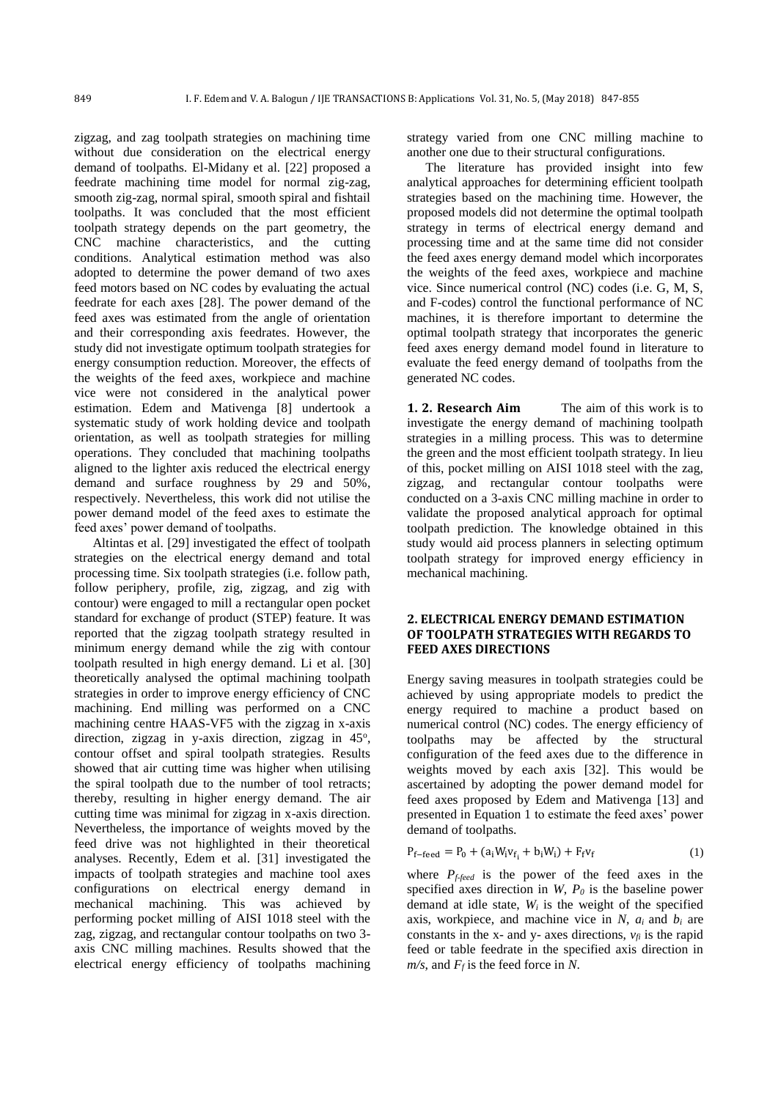zigzag, and zag toolpath strategies on machining time without due consideration on the electrical energy demand of toolpaths. El-Midany et al. [\[22\]](#page-7-7) proposed a feedrate machining time model for normal zig-zag, smooth zig-zag, normal spiral, smooth spiral and fishtail toolpaths. It was concluded that the most efficient toolpath strategy depends on the part geometry, the CNC machine characteristics, and the cutting conditions. Analytical estimation method was also adopted to determine the power demand of two axes feed motors based on NC codes by evaluating the actual feedrate for each axes [\[28\]](#page-7-13). The power demand of the feed axes was estimated from the angle of orientation and their corresponding axis feedrates. However, the study did not investigate optimum toolpath strategies for energy consumption reduction. Moreover, the effects of the weights of the feed axes, workpiece and machine vice were not considered in the analytical power estimation. Edem and Mativenga [\[8\]](#page-6-7) undertook a systematic study of work holding device and toolpath orientation, as well as toolpath strategies for milling operations. They concluded that machining toolpaths aligned to the lighter axis reduced the electrical energy demand and surface roughness by 29 and 50%, respectively. Nevertheless, this work did not utilise the power demand model of the feed axes to estimate the feed axes' power demand of toolpaths.

Altintas et al. [\[29\]](#page-7-14) investigated the effect of toolpath strategies on the electrical energy demand and total processing time. Six toolpath strategies (i.e. follow path, follow periphery, profile, zig, zigzag, and zig with contour) were engaged to mill a rectangular open pocket standard for exchange of product (STEP) feature. It was reported that the zigzag toolpath strategy resulted in minimum energy demand while the zig with contour toolpath resulted in high energy demand. Li et al. [\[30\]](#page-7-15) theoretically analysed the optimal machining toolpath strategies in order to improve energy efficiency of CNC machining. End milling was performed on a CNC machining centre HAAS-VF5 with the zigzag in x-axis direction, zigzag in y-axis direction, zigzag in 45°, contour offset and spiral toolpath strategies. Results showed that air cutting time was higher when utilising the spiral toolpath due to the number of tool retracts; thereby, resulting in higher energy demand. The air cutting time was minimal for zigzag in x-axis direction. Nevertheless, the importance of weights moved by the feed drive was not highlighted in their theoretical analyses. Recently, Edem et al. [\[31\]](#page-7-16) investigated the impacts of toolpath strategies and machine tool axes configurations on electrical energy demand in mechanical machining. This was achieved by performing pocket milling of AISI 1018 steel with the zag, zigzag, and rectangular contour toolpaths on two 3 axis CNC milling machines. Results showed that the electrical energy efficiency of toolpaths machining

strategy varied from one CNC milling machine to another one due to their structural configurations.

The literature has provided insight into few analytical approaches for determining efficient toolpath strategies based on the machining time. However, the proposed models did not determine the optimal toolpath strategy in terms of electrical energy demand and processing time and at the same time did not consider the feed axes energy demand model which incorporates the weights of the feed axes, workpiece and machine vice. Since numerical control (NC) codes (i.e. G, M, S, and F-codes) control the functional performance of NC machines, it is therefore important to determine the optimal toolpath strategy that incorporates the generic feed axes energy demand model found in literature to evaluate the feed energy demand of toolpaths from the generated NC codes.

**1. 2. Research Aim** The aim of this work is to investigate the energy demand of machining toolpath strategies in a milling process. This was to determine the green and the most efficient toolpath strategy. In lieu of this, pocket milling on AISI 1018 steel with the zag, zigzag, and rectangular contour toolpaths were conducted on a 3-axis CNC milling machine in order to validate the proposed analytical approach for optimal toolpath prediction. The knowledge obtained in this study would aid process planners in selecting optimum toolpath strategy for improved energy efficiency in mechanical machining.

#### **2. ELECTRICAL ENERGY DEMAND ESTIMATION OF TOOLPATH STRATEGIES WITH REGARDS TO FEED AXES DIRECTIONS**

Energy saving measures in toolpath strategies could be achieved by using appropriate models to predict the energy required to machine a product based on numerical control (NC) codes. The energy efficiency of toolpaths may be affected by the structural configuration of the feed axes due to the difference in weights moved by each axis [\[32\]](#page-7-17). This would be ascertained by adopting the power demand model for feed axes proposed by Edem and Mativenga [\[13\]](#page-6-12) and presented in Equation 1 to estimate the feed axes' power demand of toolpaths.

$$
P_{f-\text{feed}} = P_0 + (a_i W_i v_{f_i} + b_i W_i) + F_f v_f \tag{1}
$$

where  $P_{f\text{-}feed}$  is the power of the feed axes in the specified axes direction in *W*, *P<sup>0</sup>* is the baseline power demand at idle state, *W<sup>i</sup>* is the weight of the specified axis, workpiece, and machine vice in  $N$ ,  $a_i$  and  $b_i$  are constants in the x- and y- axes directions,  $v_f$  is the rapid feed or table feedrate in the specified axis direction in *m/s*, and *F<sup>f</sup>* is the feed force in *N*.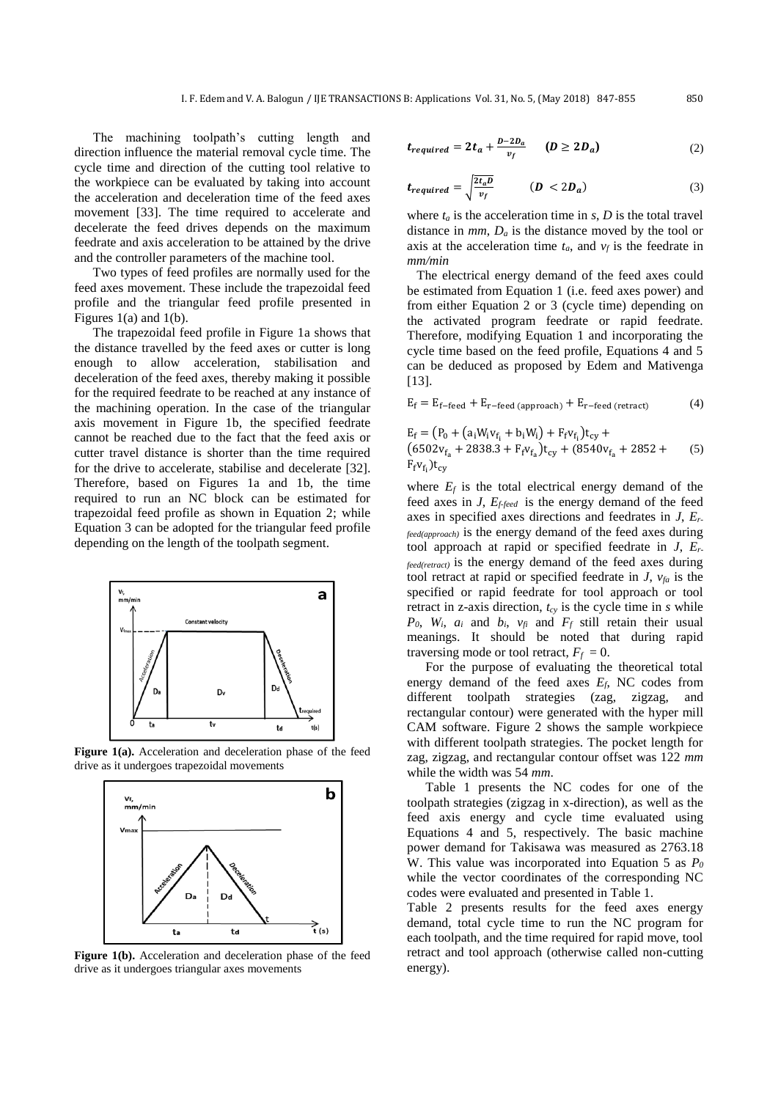The machining toolpath's cutting length and direction influence the material removal cycle time. The cycle time and direction of the cutting tool relative to the workpiece can be evaluated by taking into account the acceleration and deceleration time of the feed axes movement [\[33\]](#page-7-18). The time required to accelerate and decelerate the feed drives depends on the maximum feedrate and axis acceleration to be attained by the drive and the controller parameters of the machine tool.

Two types of feed profiles are normally used for the feed axes movement. These include the trapezoidal feed profile and the triangular feed profile presented in Figures 1(a) and 1(b).

The trapezoidal feed profile in Figure 1a shows that the distance travelled by the feed axes or cutter is long enough to allow acceleration, stabilisation and deceleration of the feed axes, thereby making it possible for the required feedrate to be reached at any instance of the machining operation. In the case of the triangular axis movement in Figure 1b, the specified feedrate cannot be reached due to the fact that the feed axis or cutter travel distance is shorter than the time required for the drive to accelerate, stabilise and decelerate [\[32\]](#page-7-17). Therefore, based on Figures 1a and 1b, the time required to run an NC block can be estimated for trapezoidal feed profile as shown in Equation 2; while Equation 3 can be adopted for the triangular feed profile depending on the length of the toolpath segment.



Figure 1(a). Acceleration and deceleration phase of the feed drive as it undergoes trapezoidal movements



Figure 1(b). Acceleration and deceleration phase of the feed drive as it undergoes triangular axes movements

$$
t_{required} = 2t_a + \frac{D - 2D_a}{v_f} \qquad (D \ge 2D_a)
$$
 (2)

$$
t_{required} = \sqrt{\frac{2t_a D}{v_f}} \qquad (D < 2D_a) \tag{3}
$$

where  $t_a$  is the acceleration time in  $s$ ,  $D$  is the total travel distance in *mm*, *D<sup>a</sup>* is the distance moved by the tool or axis at the acceleration time  $t_a$ , and  $v_f$  is the feedrate in *mm/min*

 The electrical energy demand of the feed axes could be estimated from Equation 1 (i.e. feed axes power) and from either Equation 2 or 3 (cycle time) depending on the activated program feedrate or rapid feedrate. Therefore, modifying Equation 1 and incorporating the cycle time based on the feed profile, Equations 4 and 5 can be deduced as proposed by Edem and Mativenga [\[13\]](#page-6-12).

$$
E_f = E_{f-\text{feed}} + E_{r-\text{feed (approach)}} + E_{r-\text{feed (retract)}} \tag{4}
$$

$$
E_f = (P_0 + (a_i W_i v_{f_i} + b_i W_i) + F_f v_{f_i}) t_{cy} + (6502 v_{f_a} + 2838.3 + F_f v_{f_a}) t_{cy} + (8540 v_{f_a} + 2852 + F_f v_{f_i}) t_{cy}
$$
 (5)

where  $E_f$  is the total electrical energy demand of the feed axes in *J*, *Ef-feed* is the energy demand of the feed axes in specified axes directions and feedrates in *J*, *Erfeed(approach)* is the energy demand of the feed axes during tool approach at rapid or specified feedrate in *J*, *Erfeed(retract)* is the energy demand of the feed axes during tool retract at rapid or specified feedrate in *J*, *vfa* is the specified or rapid feedrate for tool approach or tool retract in z-axis direction, *tcy* is the cycle time in *s* while  $P_0$ ,  $W_i$ ,  $a_i$  and  $b_i$ ,  $v_f$  and  $F_f$  still retain their usual meanings. It should be noted that during rapid traversing mode or tool retract,  $F_f = 0$ .

For the purpose of evaluating the theoretical total energy demand of the feed axes *Ef*, NC codes from different toolpath strategies (zag, zigzag, and rectangular contour) were generated with the hyper mill CAM software. Figure 2 shows the sample workpiece with different toolpath strategies. The pocket length for zag, zigzag, and rectangular contour offset was 122 *mm* while the width was 54 *mm*.

Table 1 presents the NC codes for one of the toolpath strategies (zigzag in x-direction), as well as the feed axis energy and cycle time evaluated using Equations 4 and 5, respectively. The basic machine power demand for Takisawa was measured as 2763.18 W. This value was incorporated into Equation 5 as *P<sup>0</sup>* while the vector coordinates of the corresponding NC codes were evaluated and presented in Table 1.

Table 2 presents results for the feed axes energy demand, total cycle time to run the NC program for each toolpath, and the time required for rapid move, tool retract and tool approach (otherwise called non-cutting energy).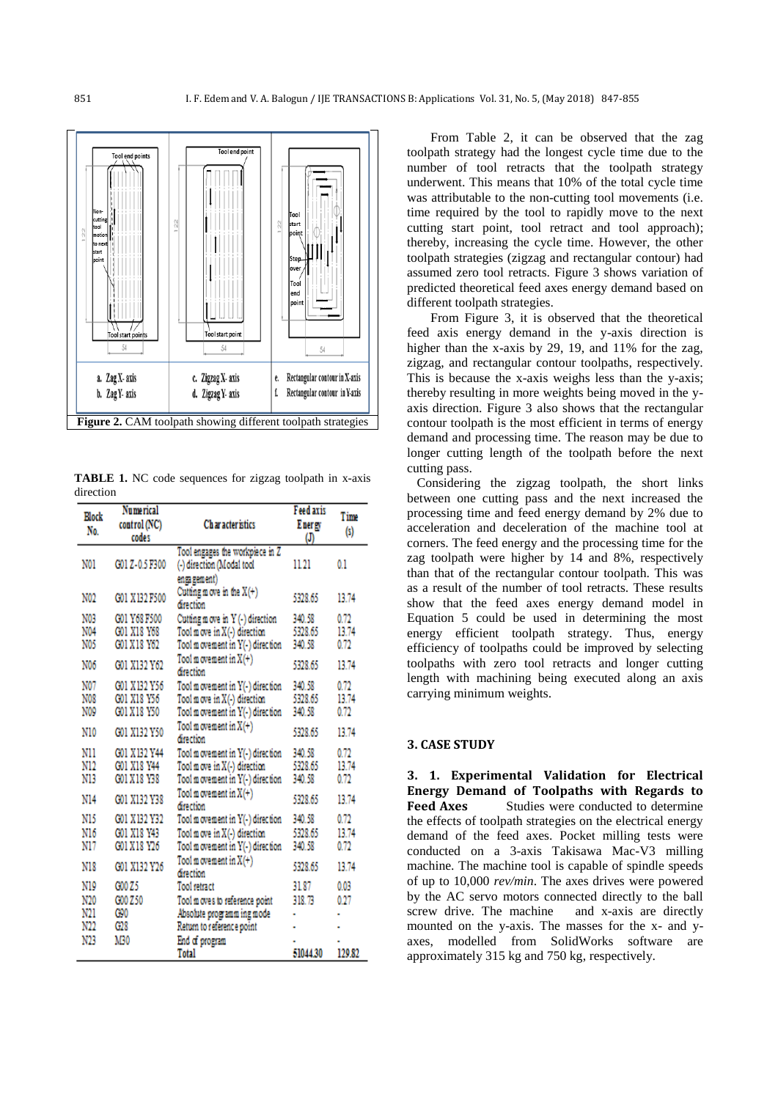

**TABLE 1.** NC code sequences for zigzag toolpath in x-axis direction

| Elock<br>No. | Numerical<br>control (NC)<br>codes | Ch ar acter istics                      | <b>Feed axis</b><br>Energy<br>ወ | Time<br>$^{(s)}$ |
|--------------|------------------------------------|-----------------------------------------|---------------------------------|------------------|
|              |                                    | Tool engages the workpiece in Z         |                                 |                  |
| N01          | G01 Z-0.5 F300                     | (-) direction (Modal tool               | 11.21                           | 0.1              |
|              |                                    | ensa gement)                            |                                 |                  |
| N02          | G01 X132 F500                      | Cutting move in the $X(+)$<br>direction | 5328.65                         | 13.74            |
| N03          | G01 Y68 F500                       | Cutting move in Y(-) direction          | 340.58                          | 0.72             |
| N04          | G01 X18 Y68                        | Tool move in X(-) direction             | 5328.65                         | 13.74            |
| N05          | G01 X18 Y62                        | Tool m ovement in Y(-) direction        | 340.58                          | 0.72             |
| N06          | G01 X132 Y62                       | Tool m ovement in $X(+)$<br>direction   | 5328.65                         | 13.74            |
| N07          | G01 X 132 Y56                      | Tool m ovement in Y(-) direction        | 340.58                          | 0.72             |
| N08          | G01 X18 Y56                        | Tool m ove in X(-) direction            | 5328.65                         | 13.74            |
| N09          | G01 X18 Y50                        | Tool m ovement in Y(-) direction        | 340.58                          | 0.72             |
| N10          | G01 X132 Y50                       | Tool m ovement in $X(+)$<br>direction   | 5328.65                         | 13.74            |
| N11          | G01 X132 Y44                       | Tool m ovement in Y(-) direction        | 340.58                          | 0.72             |
| N12          | G01 X18 Y44                        | Tool move in X(-) direction             | 5328.65                         | 13.74            |
| N13          | G01 X 18 Y38                       | Tool m ovement in Y(-) direction        | 340.58                          | 0.72             |
| N14          | G01 X132 Y38                       | Tool m ovement in $X(+)$<br>direction   | 5328.65                         | 13.74            |
| N15          | G01 X132 Y32                       | Tool m ovement in Y(-) direction        | 340.58                          | 0.72             |
| N16          | G01 X18 Y43                        | Tool move in X(-) direction             | 5328.65                         | 13.74            |
| N17          | G01 X 18 Y26                       | Tool m ovement in Y(-) direction        | 340.58                          | 0.72             |
| N18          | G01 X132 Y26                       | Tool m ovement in $X(+)$<br>direction   | 5328.65                         | 13.74            |
| N19          | G00 Z5                             | Tool retract                            | 31.87                           | 0.03             |
| N20          | G00 Z50                            | Tool moves to reference point           | 318.73                          | 0.27             |
| N21          | C90                                | Absolute programming mode               |                                 |                  |
| N22          | G28                                | Return to reference point               |                                 |                  |
| N23          | M30                                | End of program                          |                                 |                  |
|              |                                    | Total                                   | 51044.30                        | 129.82           |

From Table 2, it can be observed that the zag toolpath strategy had the longest cycle time due to the number of tool retracts that the toolpath strategy underwent. This means that 10% of the total cycle time was attributable to the non-cutting tool movements (i.e. time required by the tool to rapidly move to the next cutting start point, tool retract and tool approach); thereby, increasing the cycle time. However, the other toolpath strategies (zigzag and rectangular contour) had assumed zero tool retracts. Figure 3 shows variation of predicted theoretical feed axes energy demand based on different toolpath strategies.

From Figure 3, it is observed that the theoretical feed axis energy demand in the y-axis direction is higher than the x-axis by 29, 19, and 11% for the zag, zigzag, and rectangular contour toolpaths, respectively. This is because the x-axis weighs less than the y-axis; thereby resulting in more weights being moved in the yaxis direction. Figure 3 also shows that the rectangular contour toolpath is the most efficient in terms of energy demand and processing time. The reason may be due to longer cutting length of the toolpath before the next cutting pass.

 Considering the zigzag toolpath, the short links between one cutting pass and the next increased the processing time and feed energy demand by 2% due to acceleration and deceleration of the machine tool at corners. The feed energy and the processing time for the zag toolpath were higher by 14 and 8%, respectively than that of the rectangular contour toolpath. This was as a result of the number of tool retracts. These results show that the feed axes energy demand model in Equation 5 could be used in determining the most energy efficient toolpath strategy. Thus, energy efficiency of toolpaths could be improved by selecting toolpaths with zero tool retracts and longer cutting length with machining being executed along an axis carrying minimum weights.

#### **3. CASE STUDY**

**3. 1. Experimental Validation for Electrical Energy Demand of Toolpaths with Regards to Feed Axes** Studies were conducted to determine the effects of toolpath strategies on the electrical energy demand of the feed axes. Pocket milling tests were conducted on a 3-axis Takisawa Mac-V3 milling machine. The machine tool is capable of spindle speeds of up to 10,000 *rev/min*. The axes drives were powered by the AC servo motors connected directly to the ball screw drive. The machine and x-axis are directly mounted on the y-axis. The masses for the x- and yaxes, modelled from SolidWorks software are approximately 315 kg and 750 kg, respectively.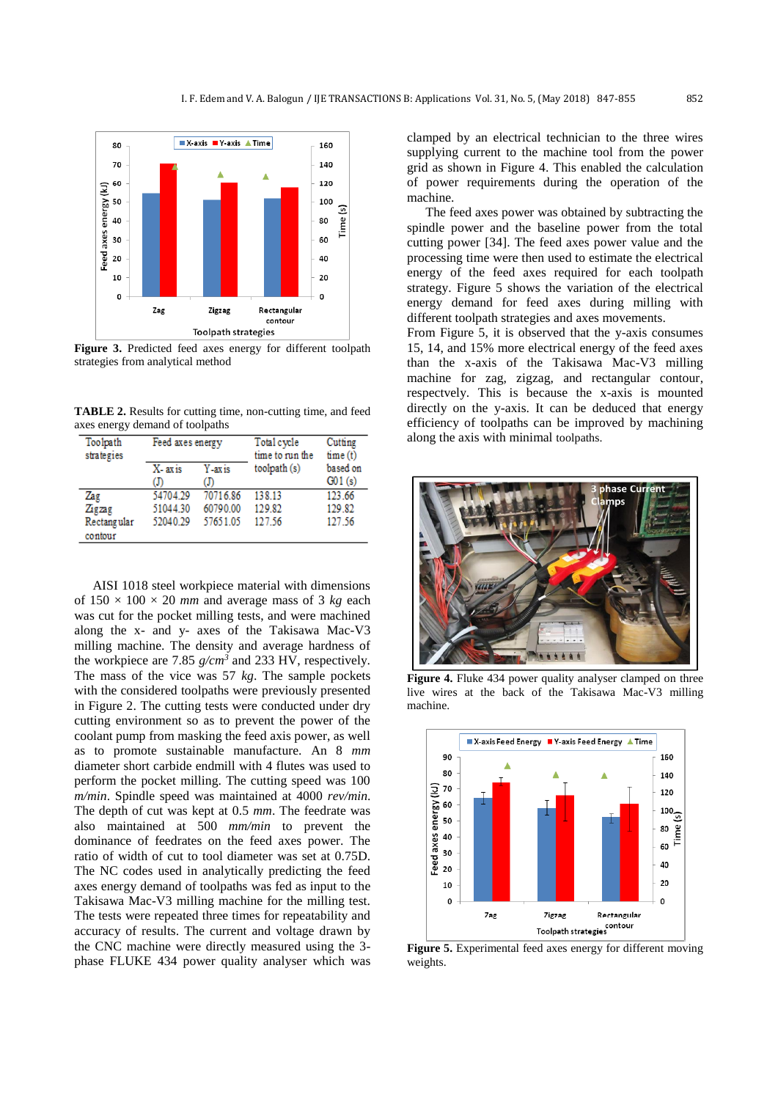

**Figure 3.** Predicted feed axes energy for different toolpath strategies from analytical method

**TABLE 2.** Results for cutting time, non-cutting time, and feed axes energy demand of toolpaths

| Toolpath<br>strategies | Feed axes energy |             | Total cycle<br>time to run the | Cutting<br>time(t) |
|------------------------|------------------|-------------|--------------------------------|--------------------|
|                        | X-axis<br>ወ      | Y-axis<br>መ | toolpath (s)                   | based on<br>G01(s) |
| Zag                    | 54704.29         | 70716.86    | 138.13                         | 123.66             |
| Zigzag                 | 51044.30         | 60790.00    | 129.82                         | 129.82             |
| Rectangular<br>contour | 52040.29         | 57651.05    | 127.56                         | 127.56             |

AISI 1018 steel workpiece material with dimensions of  $150 \times 100 \times 20$  *mm* and average mass of 3 *kg* each was cut for the pocket milling tests, and were machined along the x- and y- axes of the Takisawa Mac-V3 milling machine. The density and average hardness of the workpiece are 7.85 *g/cm<sup>3</sup>* and 233 HV, respectively. The mass of the vice was 57 *kg*. The sample pockets with the considered toolpaths were previously presented in Figure 2. The cutting tests were conducted under dry cutting environment so as to prevent the power of the coolant pump from masking the feed axis power, as well as to promote sustainable manufacture. An 8 *mm* diameter short carbide endmill with 4 flutes was used to perform the pocket milling. The cutting speed was 100 *m/min*. Spindle speed was maintained at 4000 *rev/min*. The depth of cut was kept at 0.5 *mm*. The feedrate was also maintained at 500 *mm/min* to prevent the dominance of feedrates on the feed axes power. The ratio of width of cut to tool diameter was set at 0.75D. The NC codes used in analytically predicting the feed axes energy demand of toolpaths was fed as input to the Takisawa Mac-V3 milling machine for the milling test. The tests were repeated three times for repeatability and accuracy of results. The current and voltage drawn by the CNC machine were directly measured using the 3 phase FLUKE 434 power quality analyser which was

clamped by an electrical technician to the three wires supplying current to the machine tool from the power grid as shown in Figure 4. This enabled the calculation of power requirements during the operation of the machine.

The feed axes power was obtained by subtracting the spindle power and the baseline power from the total cutting power [\[34\]](#page-7-19). The feed axes power value and the processing time were then used to estimate the electrical energy of the feed axes required for each toolpath strategy. Figure 5 shows the variation of the electrical energy demand for feed axes during milling with different toolpath strategies and axes movements.

From Figure 5, it is observed that the y-axis consumes 15, 14, and 15% more electrical energy of the feed axes than the x-axis of the Takisawa Mac-V3 milling machine for zag, zigzag, and rectangular contour, respectvely. This is because the x-axis is mounted directly on the y-axis. It can be deduced that energy efficiency of toolpaths can be improved by machining along the axis with minimal toolpaths.



Figure 4. Fluke 434 power quality analyser clamped on three live wires at the back of the Takisawa Mac-V3 milling machine.



**Figure 5.** Experimental feed axes energy for different moving weights.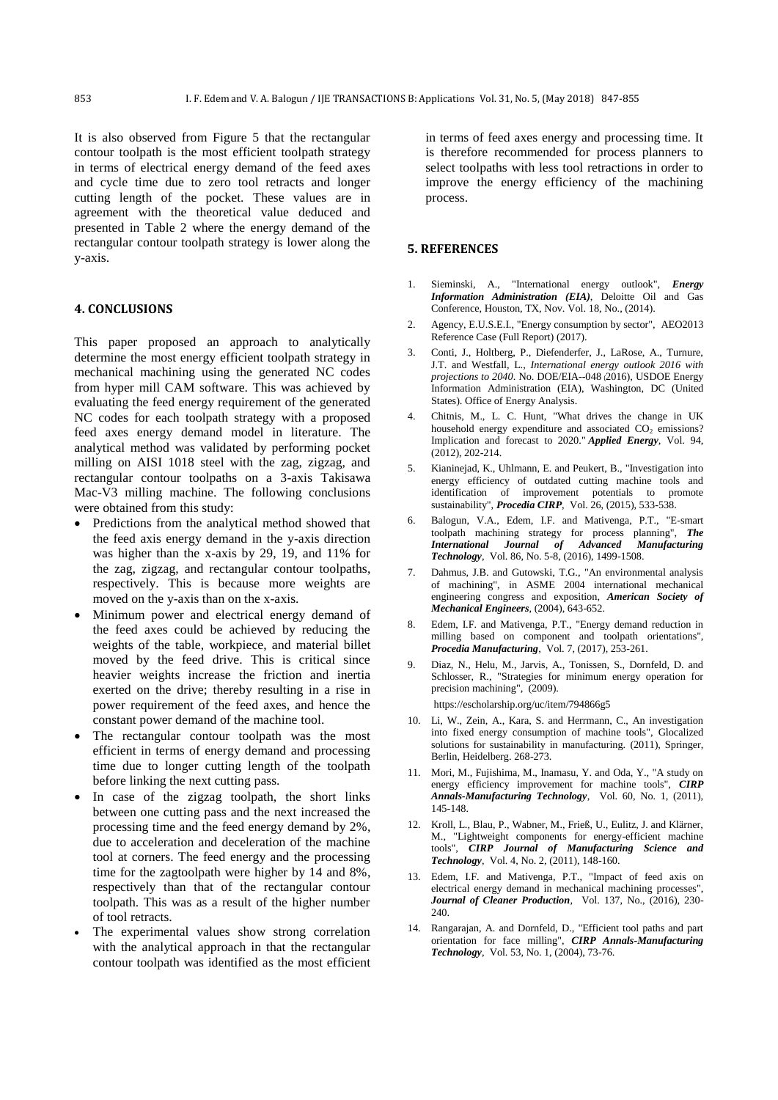It is also observed from Figure 5 that the rectangular contour toolpath is the most efficient toolpath strategy in terms of electrical energy demand of the feed axes and cycle time due to zero tool retracts and longer cutting length of the pocket. These values are in agreement with the theoretical value deduced and presented in Table 2 where the energy demand of the rectangular contour toolpath strategy is lower along the y-axis.

#### **4. CONCLUSIONS**

This paper proposed an approach to analytically determine the most energy efficient toolpath strategy in mechanical machining using the generated NC codes from hyper mill CAM software. This was achieved by evaluating the feed energy requirement of the generated NC codes for each toolpath strategy with a proposed feed axes energy demand model in literature. The analytical method was validated by performing pocket milling on AISI 1018 steel with the zag, zigzag, and rectangular contour toolpaths on a 3-axis Takisawa Mac-V3 milling machine. The following conclusions were obtained from this study:

- Predictions from the analytical method showed that the feed axis energy demand in the y-axis direction was higher than the x-axis by 29, 19, and 11% for the zag, zigzag, and rectangular contour toolpaths, respectively. This is because more weights are moved on the y-axis than on the x-axis.
- Minimum power and electrical energy demand of the feed axes could be achieved by reducing the weights of the table, workpiece, and material billet moved by the feed drive. This is critical since heavier weights increase the friction and inertia exerted on the drive; thereby resulting in a rise in power requirement of the feed axes, and hence the constant power demand of the machine tool.
- The rectangular contour toolpath was the most efficient in terms of energy demand and processing time due to longer cutting length of the toolpath before linking the next cutting pass.
- In case of the zigzag toolpath, the short links between one cutting pass and the next increased the processing time and the feed energy demand by 2%, due to acceleration and deceleration of the machine tool at corners. The feed energy and the processing time for the zagtoolpath were higher by 14 and 8%, respectively than that of the rectangular contour toolpath. This was as a result of the higher number of tool retracts.
- The experimental values show strong correlation with the analytical approach in that the rectangular contour toolpath was identified as the most efficient

in terms of feed axes energy and processing time. It is therefore recommended for process planners to select toolpaths with less tool retractions in order to improve the energy efficiency of the machining process.

#### **5. REFERENCES**

- <span id="page-6-0"></span>1. Sieminski, A., "International energy outlook", *Energy Information Administration (EIA)*, Deloitte Oil and Gas Conference, Houston, TX, Nov. Vol. 18, No., (2014).
- <span id="page-6-1"></span>2. Agency, E.U.S.E.I., "Energy consumption by sector", AEO2013 Reference Case (Full Report) (2017).
- <span id="page-6-2"></span>3. Conti, J., Holtberg, P., Diefenderfer, J., LaRose, A., Turnure, J.T. and Westfall, L., *International energy outlook 2016 with projections to 2040*. No. DOE/EIA--048 (2016), USDOE Energy Information Administration (EIA), Washington, DC (United States). Office of Energy Analysis.
- <span id="page-6-4"></span><span id="page-6-3"></span>4. Chitnis, M., L. C. Hunt, "What drives the change in UK household energy expenditure and associated  $CO<sub>2</sub>$  emissions? Implication and forecast to 2020." *Applied Energy,* Vol. 94, (2012), 202-214.
- 5. Kianinejad, K., Uhlmann, E. and Peukert, B., "Investigation into energy efficiency of outdated cutting machine tools and identification of improvement potentials to promote sustainability", *Procedia CIRP*, Vol. 26, (2015), 533-538.
- <span id="page-6-5"></span>6. Balogun, V.A., Edem, I.F. and Mativenga, P.T., "E-smart toolpath machining strategy for process planning", *The International Journal of Advanced Manufacturing Technology*, Vol. 86, No. 5-8, (2016), 1499-1508.
- <span id="page-6-6"></span>7. Dahmus, J.B. and Gutowski, T.G., "An environmental analysis of machining", in ASME 2004 international mechanical engineering congress and exposition, *American Society of Mechanical Engineers*, (2004), 643-652.
- <span id="page-6-7"></span>8. Edem, I.F. and Mativenga, P.T., "Energy demand reduction in milling based on component and toolpath orientations", *Procedia Manufacturing*, Vol. 7, (2017), 253-261.
- <span id="page-6-8"></span>9. Diaz, N., Helu, M., Jarvis, A., Tonissen, S., Dornfeld, D. and Schlosser, R., "Strategies for minimum energy operation for precision machining", (2009).

https://escholarship.org/uc/item/794866g5

- <span id="page-6-9"></span>10. Li, W., Zein, A., Kara, S. and Herrmann, C., An investigation into fixed energy consumption of machine tools", Glocalized solutions for sustainability in manufacturing. (2011), Springer, Berlin, Heidelberg. 268-273.
- <span id="page-6-10"></span>11. Mori, M., Fujishima, M., Inamasu, Y. and Oda, Y., "A study on energy efficiency improvement for machine tools", *CIRP Annals-Manufacturing Technology*, Vol. 60, No. 1, (2011), 145-148.
- <span id="page-6-11"></span>12. Kroll, L., Blau, P., Wabner, M., Frieß, U., Eulitz, J. and Klärner, M., "Lightweight components for energy-efficient machine tools", *CIRP Journal of Manufacturing Science and Technology*, Vol. 4, No. 2, (2011), 148-160.
- <span id="page-6-12"></span>13. Edem, I.F. and Mativenga, P.T., "Impact of feed axis on electrical energy demand in mechanical machining processes", *Journal of Cleaner Production*, Vol. 137, No., (2016), 230- 240
- <span id="page-6-13"></span>14. Rangarajan, A. and Dornfeld, D., "Efficient tool paths and part orientation for face milling", *CIRP Annals-Manufacturing Technology*, Vol. 53, No. 1, (2004), 73-76.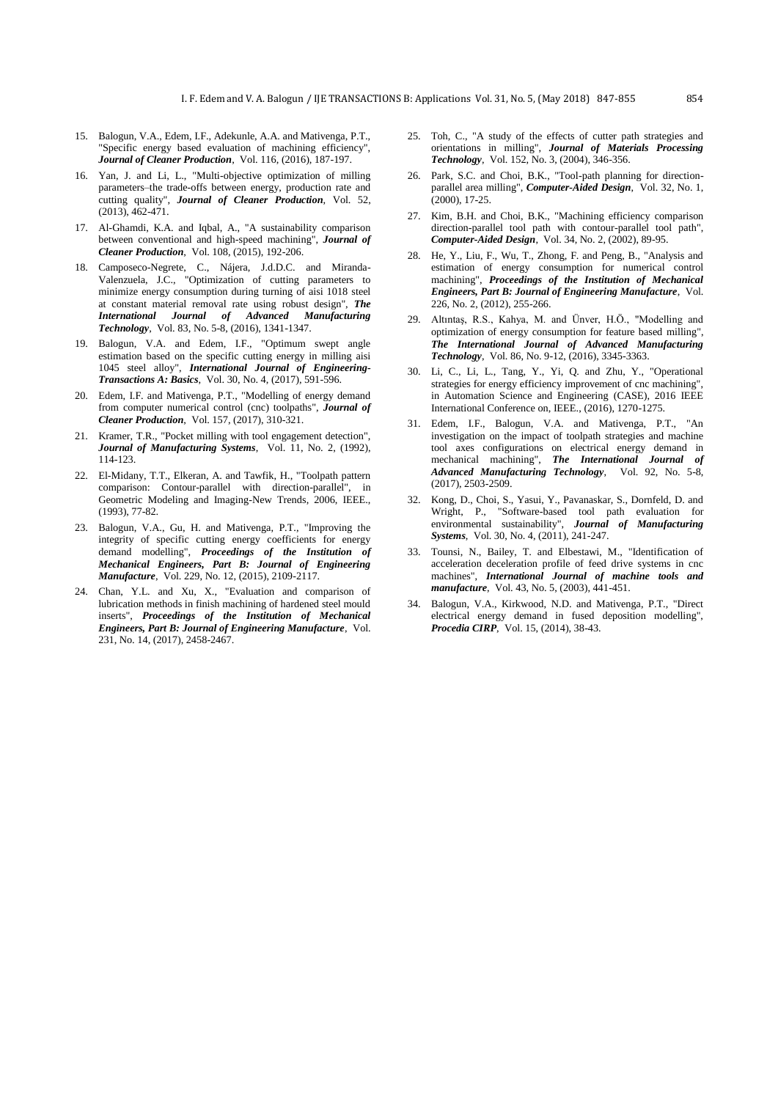- <span id="page-7-0"></span>15. Balogun, V.A., Edem, I.F., Adekunle, A.A. and Mativenga, P.T., "Specific energy based evaluation of machining efficiency", *Journal of Cleaner Production*, Vol. 116, (2016), 187-197.
- <span id="page-7-1"></span>16. Yan, J. and Li, L., "Multi-objective optimization of milling parameters–the trade-offs between energy, production rate and cutting quality", *Journal of Cleaner Production*, Vol. 52, (2013), 462-471.
- <span id="page-7-2"></span>17. Al-Ghamdi, K.A. and Iqbal, A., "A sustainability comparison between conventional and high-speed machining", *Journal of Cleaner Production*, Vol. 108, (2015), 192-206.
- <span id="page-7-3"></span>18. Camposeco-Negrete, C., Nájera, J.d.D.C. and Miranda-Valenzuela, J.C., "Optimization of cutting parameters to minimize energy consumption during turning of aisi 1018 steel at constant material removal rate using robust design", *The International Journal of Advanced Manufacturing Technology*, Vol. 83, No. 5-8, (2016), 1341-1347.
- <span id="page-7-4"></span>19. Balogun, V.A. and Edem, I.F., "Optimum swept angle estimation based on the specific cutting energy in milling aisi 1045 steel alloy", *International Journal of Engineering-Transactions A: Basics*, Vol. 30, No. 4, (2017), 591-596.
- <span id="page-7-5"></span>20. Edem, I.F. and Mativenga, P.T., "Modelling of energy demand from computer numerical control (cnc) toolpaths", *Journal of Cleaner Production*, Vol. 157, (2017), 310-321.
- <span id="page-7-6"></span>21. Kramer, T.R., "Pocket milling with tool engagement detection", *Journal of Manufacturing Systems*, Vol. 11, No. 2, (1992), 114-123.
- <span id="page-7-7"></span>22. El-Midany, T.T., Elkeran, A. and Tawfik, H., "Toolpath pattern comparison: Contour-parallel with direction-parallel", in Geometric Modeling and Imaging-New Trends, 2006, IEEE., (1993), 77-82.
- <span id="page-7-8"></span>23. Balogun, V.A., Gu, H. and Mativenga, P.T., "Improving the integrity of specific cutting energy coefficients for energy demand modelling", *Proceedings of the Institution of Mechanical Engineers, Part B: Journal of Engineering Manufacture*, Vol. 229, No. 12, (2015), 2109-2117.
- <span id="page-7-9"></span>24. Chan, Y.L. and Xu, X., "Evaluation and comparison of lubrication methods in finish machining of hardened steel mould inserts", *Proceedings of the Institution of Mechanical Engineers, Part B: Journal of Engineering Manufacture*, Vol. 231, No. 14, (2017), 2458-2467.
- <span id="page-7-10"></span>25. Toh, C., "A study of the effects of cutter path strategies and orientations in milling", *Journal of Materials Processing Technology*, Vol. 152, No. 3, (2004), 346-356.
- <span id="page-7-11"></span>Park, S.C. and Choi, B.K., "Tool-path planning for directionparallel area milling", *Computer-Aided Design*, Vol. 32, No. 1, (2000), 17-25.
- <span id="page-7-12"></span>27. Kim, B.H. and Choi, B.K., "Machining efficiency comparison direction-parallel tool path with contour-parallel tool path", *Computer-Aided Design*, Vol. 34, No. 2, (2002), 89-95.
- <span id="page-7-13"></span>28. He, Y., Liu, F., Wu, T., Zhong, F. and Peng, B., "Analysis and estimation of energy consumption for numerical control machining", *Proceedings of the Institution of Mechanical Engineers, Part B: Journal of Engineering Manufacture*, Vol. 226, No. 2, (2012), 255-266.
- <span id="page-7-14"></span>29. Altıntaş, R.S., Kahya, M. and Ünver, H.Ö., "Modelling and optimization of energy consumption for feature based milling", *The International Journal of Advanced Manufacturing Technology*, Vol. 86, No. 9-12, (2016), 3345-3363.
- <span id="page-7-15"></span>30. Li, C., Li, L., Tang, Y., Yi, Q. and Zhu, Y., "Operational strategies for energy efficiency improvement of cnc machining", in Automation Science and Engineering (CASE), 2016 IEEE International Conference on, IEEE., (2016), 1270-1275.
- <span id="page-7-16"></span>31. Edem, I.F., Balogun, V.A. and Mativenga, P.T., "An investigation on the impact of toolpath strategies and machine tool axes configurations on electrical energy demand in mechanical machining", *The International Journal of Advanced Manufacturing Technology*, Vol. 92, No. 5-8, (2017), 2503-2509.
- <span id="page-7-17"></span>32. Kong, D., Choi, S., Yasui, Y., Pavanaskar, S., Dornfeld, D. and Wright, P., "Software-based tool path evaluation for environmental sustainability", *Journal of Manufacturing Systems*, Vol. 30, No. 4, (2011), 241-247.
- <span id="page-7-18"></span>33. Tounsi, N., Bailey, T. and Elbestawi, M., "Identification of acceleration deceleration profile of feed drive systems in cnc machines", *International Journal of machine tools and manufacture*, Vol. 43, No. 5, (2003), 441-451.
- <span id="page-7-19"></span>34. Balogun, V.A., Kirkwood, N.D. and Mativenga, P.T., "Direct electrical energy demand in fused deposition modelling", *Procedia CIRP*, Vol. 15, (2014), 38-43.